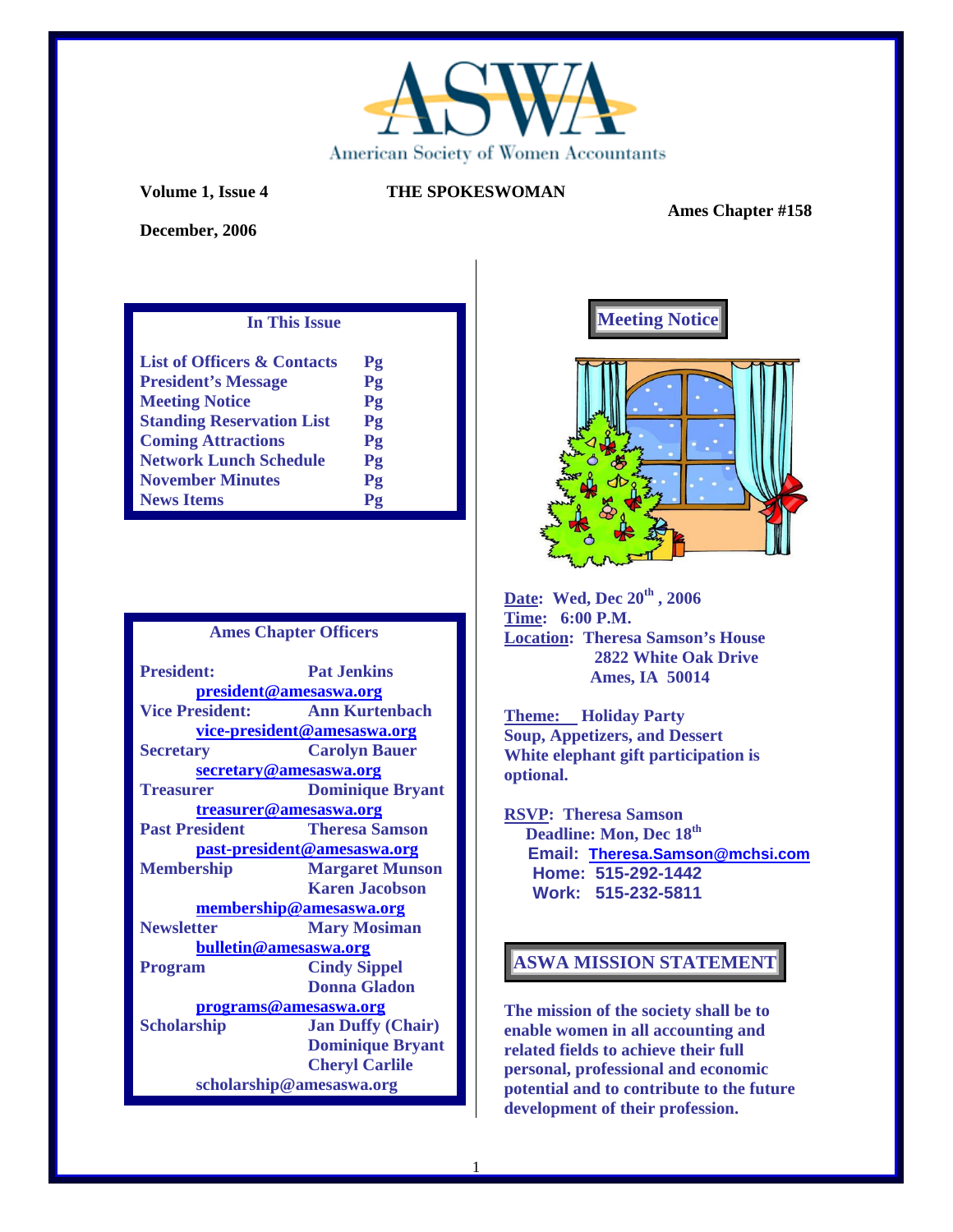

 **Ames Chapter #158** 

**December, 2006** 

## **In This Issue**

| <b>List of Officers &amp; Contacts</b> | $P_{2}$                     |
|----------------------------------------|-----------------------------|
| <b>President's Message</b>             | Pg                          |
| <b>Meeting Notice</b>                  | Pg                          |
| <b>Standing Reservation List</b>       | Pg                          |
| <b>Coming Attractions</b>              | Pg                          |
| <b>Network Lunch Schedule</b>          | Pg                          |
| <b>November Minutes</b>                | Pg                          |
| <b>News Items</b>                      | ${\bf P}{\bf {\bm \alpha}}$ |

### **Ames Chapter Officers**

| <b>President:</b>           | <b>Pat Jenkins</b>       |  |
|-----------------------------|--------------------------|--|
| president@amesaswa.org      |                          |  |
| <b>Vice President:</b>      | <b>Ann Kurtenbach</b>    |  |
| vice-president@amesaswa.org |                          |  |
| <b>Secretary</b>            | <b>Carolyn Bauer</b>     |  |
| secretary@amesaswa.org      |                          |  |
| <b>Treasurer</b>            | <b>Dominique Bryant</b>  |  |
| treasurer@amesaswa.org      |                          |  |
| <b>Past President</b>       | <b>Theresa Samson</b>    |  |
| past-president@amesaswa.org |                          |  |
| <b>Membership</b>           | <b>Margaret Munson</b>   |  |
|                             | <b>Karen Jacobson</b>    |  |
| membership@amesaswa.org     |                          |  |
| <b>Newsletter</b>           | <b>Mary Mosiman</b>      |  |
| bulletin@amesaswa.org       |                          |  |
| <b>Program</b>              | <b>Cindy Sippel</b>      |  |
|                             | <b>Donna Gladon</b>      |  |
| programs@amesaswa.org       |                          |  |
| <b>Scholarship</b>          | <b>Jan Duffy (Chair)</b> |  |
|                             | <b>Dominique Bryant</b>  |  |
|                             | <b>Cheryl Carlile</b>    |  |
| scholarship@amesaswa.org    |                          |  |





**Date: Wed, Dec 20th , 2006 Time: 6:00 P.M. Location: Theresa Samson's House 2822 White Oak Drive Ames, IA 50014** 

**Theme: Holiday Party Soup, Appetizers, and Dessert White elephant gift participation is optional.** 

**RSVP: Theresa Samson Deadline: Mon, Dec 18th Email: Theresa.Samson@mchsi.com Home: 515-292-1442 Work: 515-232-5811** 

## **ASWA MISSION STATEMENT**

**The mission of the society shall be to enable women in all accounting and related fields to achieve their full personal, professional and economic potential and to contribute to the future development of their profession.**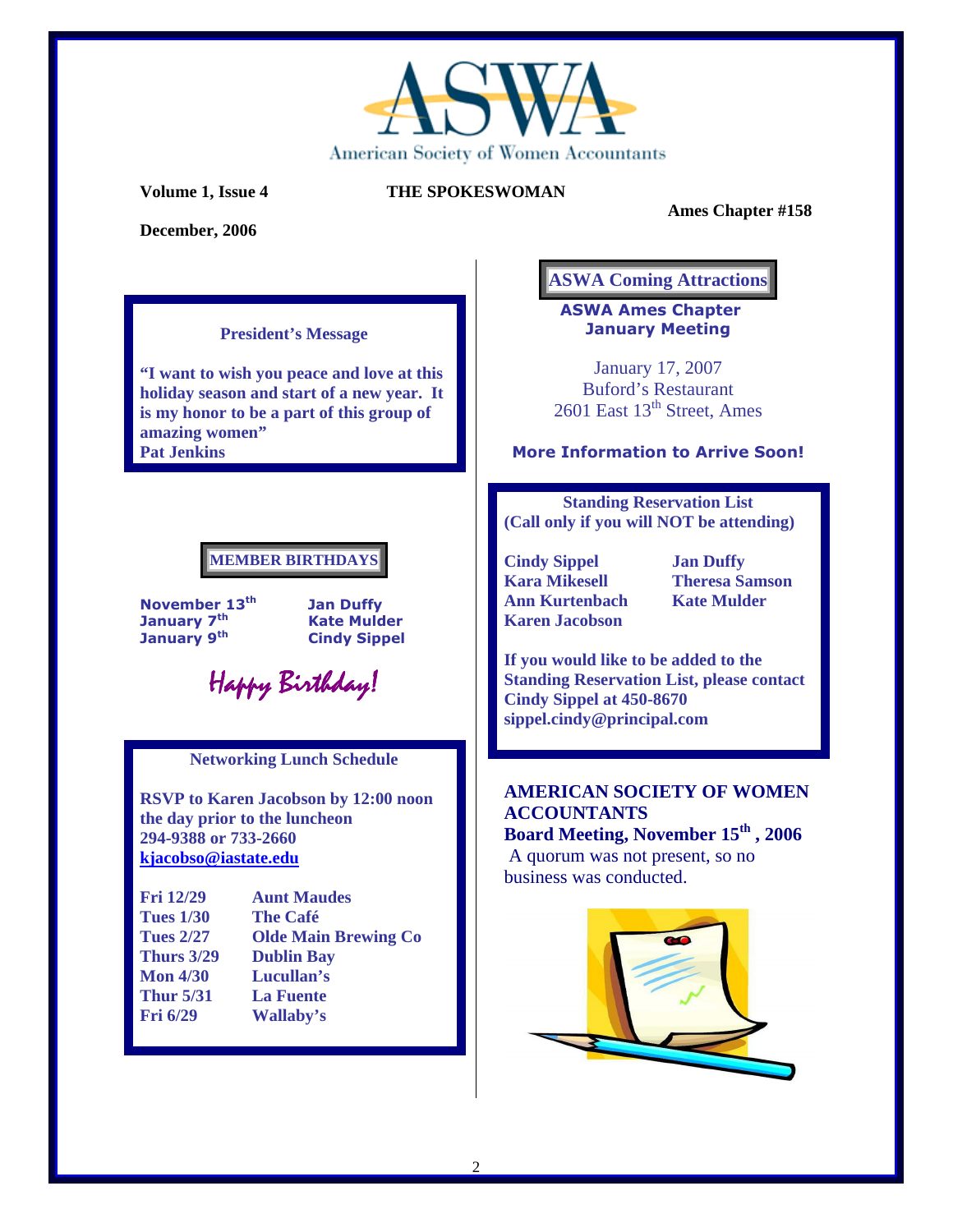

**December, 2006** 

 **Ames Chapter #158** 

## **President's Message**

**"I want to wish you peace and love at this holiday season and start of a new year. It is my honor to be a part of this group of amazing women" Pat Jenkins** 

# **MEMBER BIRTHDAYS**

November  $13^{th}$  Jan Duffy<br>January  $7^{th}$  Kate Muld January 9<sup>th</sup> Cindy Sippel

**Kate Mulder** 

Happy Birthday! Happy Birthday!

## **Networking Lunch Schedule**

**RSVP to Karen Jacobson by 12:00 noon the day prior to the luncheon 294-9388 or 733-2660 kjacobso@iastate.edu**

| <b>Fri 12/29</b>  | <b>Aunt Maudes</b>          |
|-------------------|-----------------------------|
| <b>Tues 1/30</b>  | <b>The Café</b>             |
| <b>Tues 2/27</b>  | <b>Olde Main Brewing Co</b> |
| <b>Thurs 3/29</b> | <b>Dublin Bay</b>           |
| <b>Mon 4/30</b>   | Lucullan's                  |
| <b>Thur 5/31</b>  | <b>La Fuente</b>            |
| Fri $6/29$        | Wallaby's                   |
|                   |                             |

# **ASWA Coming Attractions**

ASWA Ames Chapter January Meeting

January 17, 2007 Buford's Restaurant  $2601$  East  $13<sup>th</sup>$  Street, Ames

## More Information to Arrive Soon!

**Standing Reservation List (Call only if you will NOT be attending)** 

- **Cindy Sippel 5 1 Jan Duffy<br>
Kara Mikesell 6 18 Theresa Sample Ann Kurtenbach Kate Mulder Karen Jacobson** 
	- **Theresa Samson**

**If you would like to be added to the Standing Reservation List, please contact Cindy Sippel at 450-8670 sippel.cindy@principal.com** 

# **AMERICAN SOCIETY OF WOMEN ACCOUNTANTS**

**Board Meeting, November 15th , 2006** A quorum was not present, so no business was conducted.

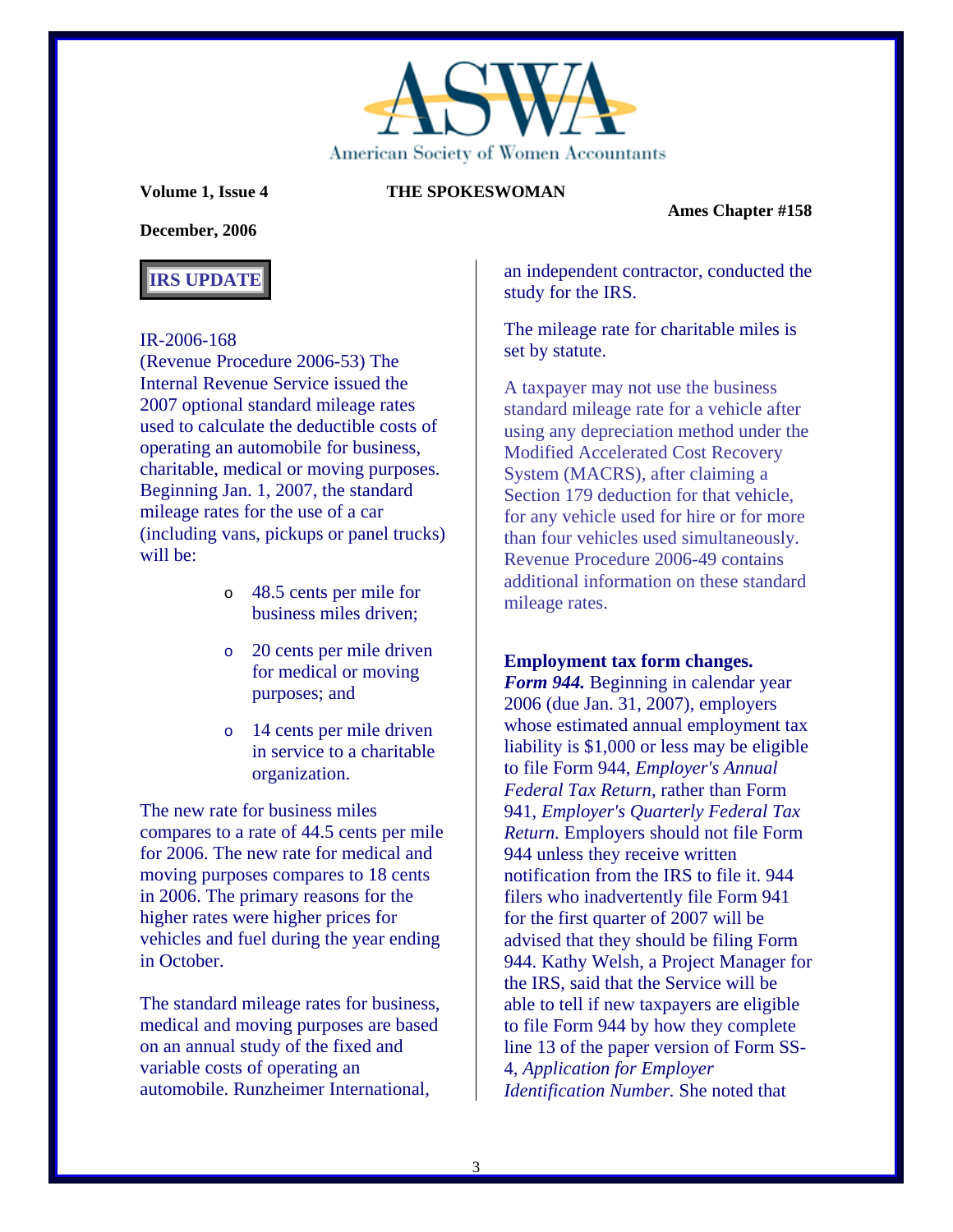

 **Ames Chapter #158** 

## **December, 2006**

# **IRS UPDATE**

## IR-2006-168

(Revenue Procedure 2006-53) The Internal Revenue Service issued the 2007 optional standard mileage rates used to calculate the deductible costs of operating an automobile for business, charitable, medical or moving purposes. Beginning Jan. 1, 2007, the standard mileage rates for the use of a car (including vans, pickups or panel trucks) will be:

- o 48.5 cents per mile for business miles driven;
- o 20 cents per mile driven for medical or moving purposes; and
- o 14 cents per mile driven in service to a charitable organization.

The new rate for business miles compares to a rate of 44.5 cents per mile for 2006. The new rate for medical and moving purposes compares to 18 cents in 2006. The primary reasons for the higher rates were higher prices for vehicles and fuel during the year ending in October.

The standard mileage rates for business, medical and moving purposes are based on an annual study of the fixed and variable costs of operating an automobile. Runzheimer International,

an independent contractor, conducted the study for the IRS.

The mileage rate for charitable miles is set by statute.

A taxpayer may not use the business standard mileage rate for a vehicle after using any depreciation method under the Modified Accelerated Cost Recovery System (MACRS), after claiming a Section 179 deduction for that vehicle, for any vehicle used for hire or for more than four vehicles used simultaneously. Revenue Procedure 2006-49 contains additional information on these standard mileage rates.

## **Employment tax form changes.**

*Form 944.* Beginning in calendar year 2006 (due Jan. 31, 2007), employers whose estimated annual employment tax liability is \$1,000 or less may be eligible to file Form 944, *Employer's Annual Federal Tax Return,* rather than Form 941, *Employer's Quarterly Federal Tax Return.* Employers should not file Form 944 unless they receive written notification from the IRS to file it. 944 filers who inadvertently file Form 941 for the first quarter of 2007 will be advised that they should be filing Form 944. Kathy Welsh, a Project Manager for the IRS, said that the Service will be able to tell if new taxpayers are eligible to file Form 944 by how they complete line 13 of the paper version of Form SS-4, *Application for Employer Identification Number.* She noted that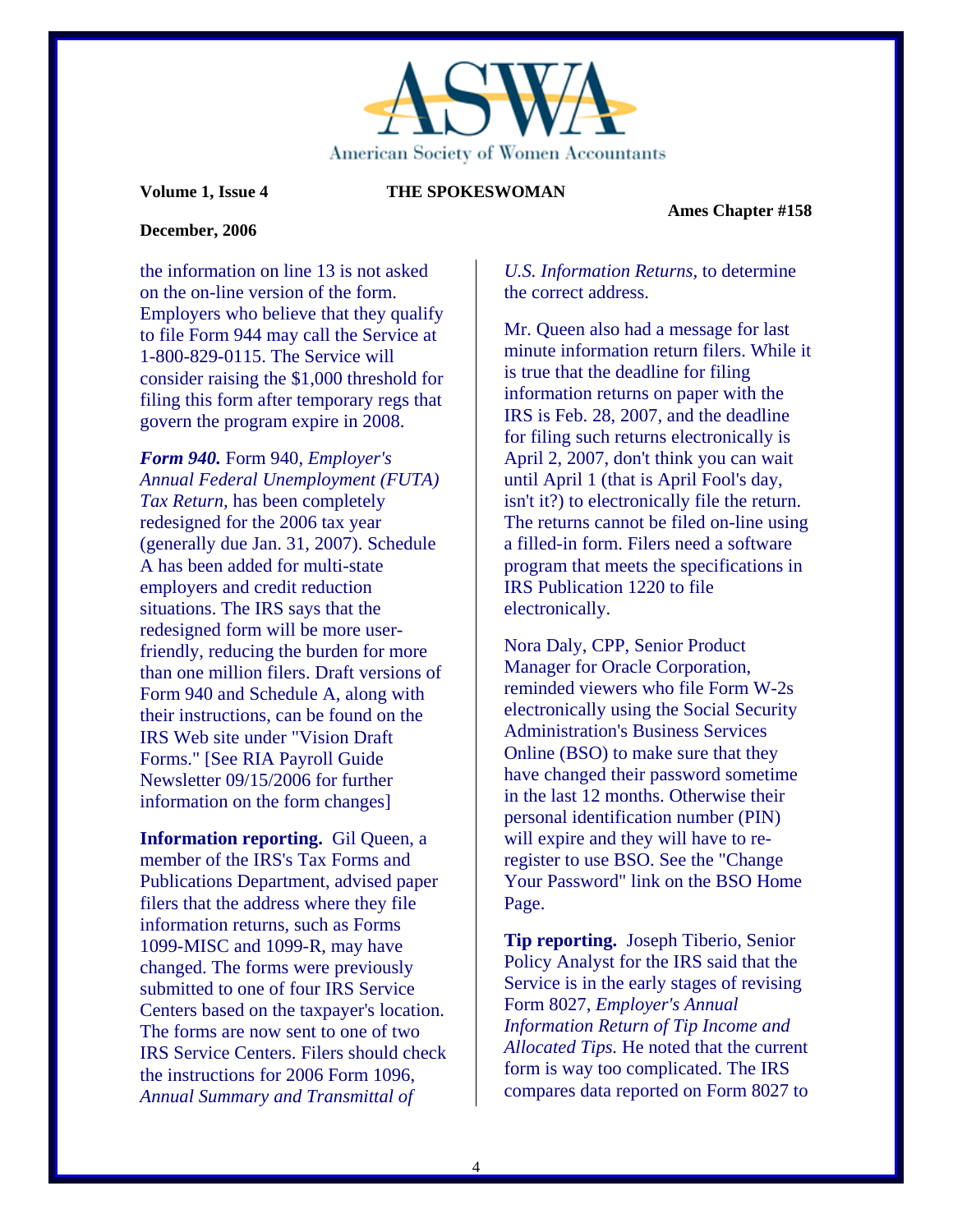

 **Ames Chapter #158** 

## **December, 2006**

the information on line 13 is not asked on the on-line version of the form. Employers who believe that they qualify to file Form 944 may call the Service at 1-800-829-0115. The Service will consider raising the \$1,000 threshold for filing this form after temporary regs that govern the program expire in 2008.

*Form 940.* Form 940, *Employer's Annual Federal Unemployment (FUTA) Tax Return,* has been completely redesigned for the 2006 tax year (generally due Jan. 31, 2007). Schedule A has been added for multi-state employers and credit reduction situations. The IRS says that the redesigned form will be more userfriendly, reducing the burden for more than one million filers. Draft versions of Form 940 and Schedule A, along with their instructions, can be found on the IRS Web site under "Vision Draft Forms." [See RIA Payroll Guide Newsletter 09/15/2006 for further information on the form changes]

**Information reporting.** Gil Queen, a member of the IRS's Tax Forms and Publications Department, advised paper filers that the address where they file information returns, such as Forms 1099-MISC and 1099-R, may have changed. The forms were previously submitted to one of four IRS Service Centers based on the taxpayer's location. The forms are now sent to one of two IRS Service Centers. Filers should check the instructions for 2006 Form 1096, *Annual Summary and Transmittal of*

## *U.S. Information Returns,* to determine the correct address.

Mr. Queen also had a message for last minute information return filers. While it is true that the deadline for filing information returns on paper with the IRS is Feb. 28, 2007, and the deadline for filing such returns electronically is April 2, 2007, don't think you can wait until April 1 (that is April Fool's day, isn't it?) to electronically file the return. The returns cannot be filed on-line using a filled-in form. Filers need a software program that meets the specifications in IRS Publication 1220 to file electronically.

Nora Daly, CPP, Senior Product Manager for Oracle Corporation, reminded viewers who file Form W-2s electronically using the Social Security Administration's Business Services Online (BSO) to make sure that they have changed their password sometime in the last 12 months. Otherwise their personal identification number (PIN) will expire and they will have to reregister to use BSO. See the "Change Your Password" link on the BSO Home Page.

**Tip reporting.** Joseph Tiberio, Senior Policy Analyst for the IRS said that the Service is in the early stages of revising Form 8027, *Employer's Annual Information Return of Tip Income and Allocated Tips.* He noted that the current form is way too complicated. The IRS compares data reported on Form 8027 to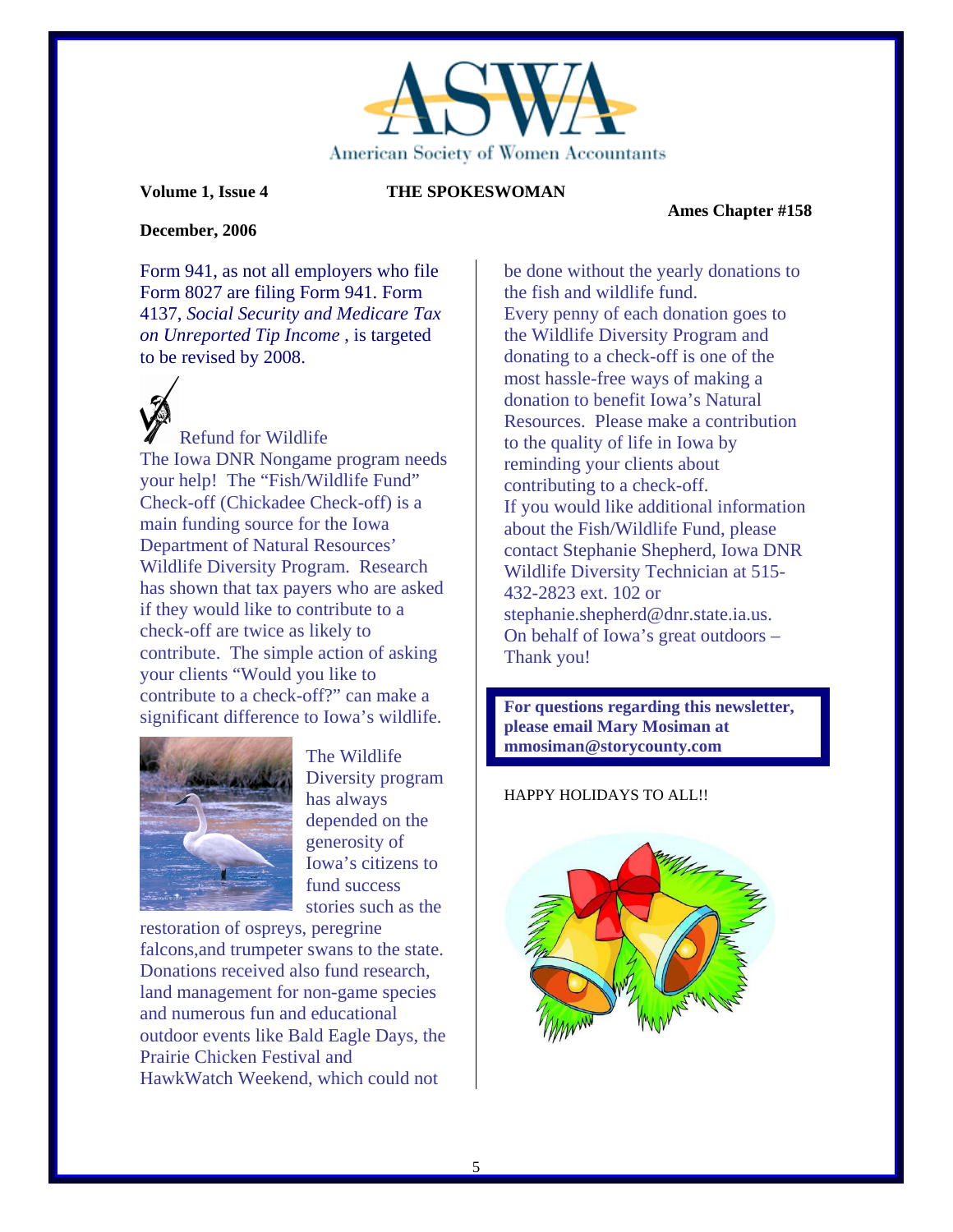

 **Ames Chapter #158** 

### **December, 2006**

Form 941, as not all employers who file Form 8027 are filing Form 941. Form 4137, *Social Security and Medicare Tax on Unreported Tip Income* , is targeted to be revised by 2008.

Refund for Wildlife The Iowa DNR Nongame program needs your help! The "Fish/Wildlife Fund" Check-off (Chickadee Check-off) is a main funding source for the Iowa Department of Natural Resources' Wildlife Diversity Program. Research has shown that tax payers who are asked if they would like to contribute to a check-off are twice as likely to contribute. The simple action of asking your clients "Would you like to contribute to a check-off?" can make a significant difference to Iowa's wildlife.



The Wildlife Diversity program has always depended on the generosity of Iowa's citizens to fund success stories such as the

restoration of ospreys, peregrine falcons,and trumpeter swans to the state. Donations received also fund research, land management for non-game species and numerous fun and educational outdoor events like Bald Eagle Days, the Prairie Chicken Festival and HawkWatch Weekend, which could not

be done without the yearly donations to the fish and wildlife fund. Every penny of each donation goes to the Wildlife Diversity Program and donating to a check-off is one of the most hassle-free ways of making a donation to benefit Iowa's Natural Resources. Please make a contribution to the quality of life in Iowa by reminding your clients about contributing to a check-off. If you would like additional information about the Fish/Wildlife Fund, please contact Stephanie Shepherd, Iowa DNR Wildlife Diversity Technician at 515- 432-2823 ext. 102 or stephanie.shepherd@dnr.state.ia.us. On behalf of Iowa's great outdoors – Thank you!

**For questions regarding this newsletter, please email Mary Mosiman at mmosiman@storycounty.com** 

## HAPPY HOLIDAYS TO ALL!!